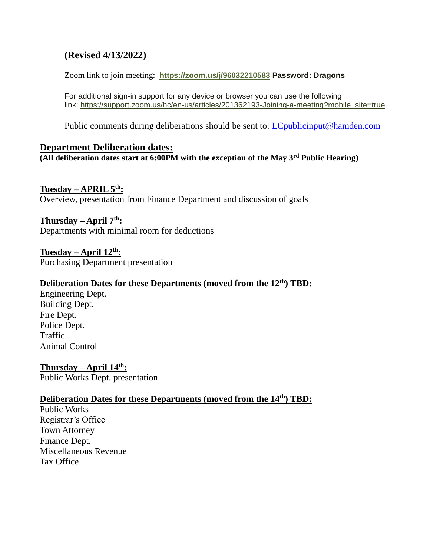# **(Revised 4/13/2022)**

Zoom link to join meeting: **<https://zoom.us/j/96032210583> Password: Dragons**

For additional sign-in support for any device or browser you can use the following link: [https://support.zoom.us/hc/en-us/articles/201362193-Joining-a-meeting?mobile\\_site=true](https://support.zoom.us/hc/en-us/articles/201362193-Joining-a-meeting?mobile_site=true)

Public comments during deliberations should be sent to: *LCpublicinput@hamden.com* 

#### **Department Deliberation dates:**

**(All deliberation dates start at 6:00PM with the exception of the May 3rd Public Hearing)**

#### **Tuesday – APRIL 5th:**

Overview, presentation from Finance Department and discussion of goals

#### **Thursday – April 7th:**

Departments with minimal room for deductions

**Tuesday – April 12th:** Purchasing Department presentation

#### **Deliberation Dates for these Departments (moved from the 12th) TBD:**

Engineering Dept. Building Dept. Fire Dept. Police Dept. Traffic Animal Control

**Thursday – April 14th:** Public Works Dept. presentation

## **Deliberation Dates for these Departments (moved from the 14th) TBD:**

Public Works Registrar's Office Town Attorney Finance Dept. Miscellaneous Revenue Tax Office